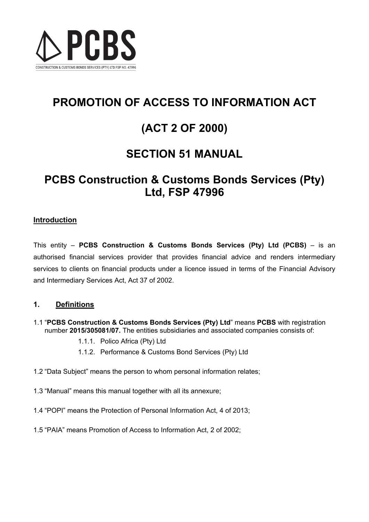

# **PROMOTION OF ACCESS TO INFORMATION ACT**

# **(ACT 2 OF 2000)**

# **SECTION 51 MANUAL**

# **PCBS Construction & Customs Bonds Services (Pty) Ltd, FSP 47996**

## **Introduction**

This entity – **PCBS Construction & Customs Bonds Services (Pty) Ltd (PCBS)** – is an authorised financial services provider that provides financial advice and renders intermediary services to clients on financial products under a licence issued in terms of the Financial Advisory and Intermediary Services Act, Act 37 of 2002.

## **1. Definitions**

- 1.1 "**PCBS Construction & Customs Bonds Services (Pty) Ltd**" means **PCBS** with registration number **2015/305081/07.** The entities subsidiaries and associated companies consists of:
	- 1.1.1. Polico Africa (Pty) Ltd
	- 1.1.2. Performance & Customs Bond Services (Pty) Ltd
- 1.2 "Data Subject" means the person to whom personal information relates;
- 1.3 "Manual" means this manual together with all its annexure;
- 1.4 "POPI" means the Protection of Personal Information Act, 4 of 2013;
- 1.5 "PAIA" means Promotion of Access to Information Act, 2 of 2002;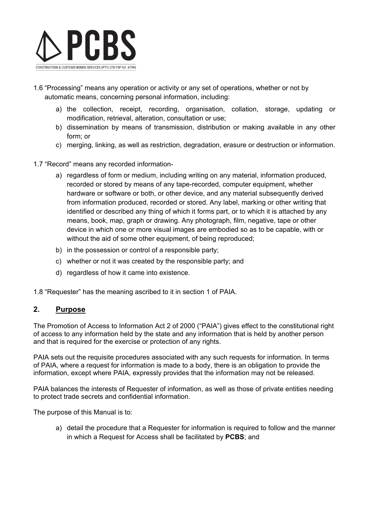

- 1.6 "Processing" means any operation or activity or any set of operations, whether or not by automatic means, concerning personal information, including:
	- a) the collection, receipt, recording, organisation, collation, storage, updating or modification, retrieval, alteration, consultation or use;
	- b) dissemination by means of transmission, distribution or making available in any other form; or
	- c) merging, linking, as well as restriction, degradation, erasure or destruction or information.
- 1.7 "Record" means any recorded information
	- a) regardless of form or medium, including writing on any material, information produced, recorded or stored by means of any tape-recorded, computer equipment, whether hardware or software or both, or other device, and any material subsequently derived from information produced, recorded or stored. Any label, marking or other writing that identified or described any thing of which it forms part, or to which it is attached by any means, book, map, graph or drawing. Any photograph, film, negative, tape or other device in which one or more visual images are embodied so as to be capable, with or without the aid of some other equipment, of being reproduced;
	- b) in the possession or control of a responsible party;
	- c) whether or not it was created by the responsible party; and
	- d) regardless of how it came into existence.

1.8 "Requester" has the meaning ascribed to it in section 1 of PAIA.

### **2. Purpose**

The Promotion of Access to Information Act 2 of 2000 ("PAIA") gives effect to the constitutional right of access to any information held by the state and any information that is held by another person and that is required for the exercise or protection of any rights.

PAIA sets out the requisite procedures associated with any such requests for information. In terms of PAIA, where a request for information is made to a body, there is an obligation to provide the information, except where PAIA, expressly provides that the information may not be released.

PAIA balances the interests of Requester of information, as well as those of private entities needing to protect trade secrets and confidential information.

The purpose of this Manual is to:

a) detail the procedure that a Requester for information is required to follow and the manner in which a Request for Access shall be facilitated by **PCBS**; and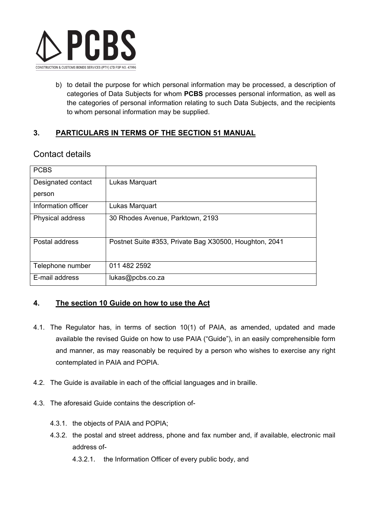

b) to detail the purpose for which personal information may be processed, a description of categories of Data Subjects for whom **PCBS** processes personal information, as well as the categories of personal information relating to such Data Subjects, and the recipients to whom personal information may be supplied.

## **3. PARTICULARS IN TERMS OF THE SECTION 51 MANUAL**

## Contact details

| <b>PCBS</b>             |                                                        |
|-------------------------|--------------------------------------------------------|
| Designated contact      | Lukas Marquart                                         |
| person                  |                                                        |
| Information officer     | Lukas Marquart                                         |
| <b>Physical address</b> | 30 Rhodes Avenue, Parktown, 2193                       |
| Postal address          | Postnet Suite #353, Private Bag X30500, Houghton, 2041 |
| Telephone number        | 011 482 2592                                           |
| E-mail address          | lukas@pcbs.co.za                                       |

## **4. The section 10 Guide on how to use the Act**

- 4.1. The Regulator has, in terms of section 10(1) of PAIA, as amended, updated and made available the revised Guide on how to use PAIA ("Guide"), in an easily comprehensible form and manner, as may reasonably be required by a person who wishes to exercise any right contemplated in PAIA and POPIA.
- 4.2. The Guide is available in each of the official languages and in braille.
- 4.3. The aforesaid Guide contains the description of-
	- 4.3.1. the objects of PAIA and POPIA;
	- 4.3.2. the postal and street address, phone and fax number and, if available, electronic mail address of-
		- 4.3.2.1. the Information Officer of every public body, and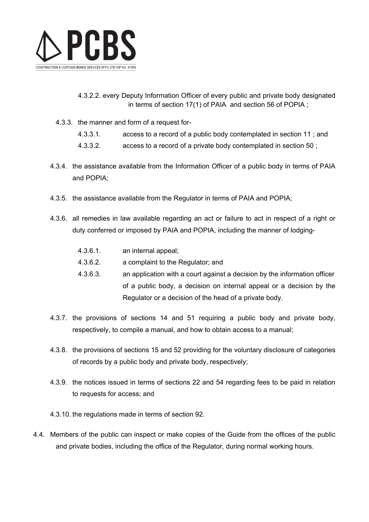

- 4.3.2.2. every Deputy Information Officer of every public and private body designated in terms of section 17(1) of PAIA and section 56 of POPIA ;
- 4.3.3. the manner and form of a request for-
	- 4.3.3.1. access to a record of a public body contemplated in section 11 ; and
	- 4.3.3.2. access to a record of a private body contemplated in section 50 ;
- 4.3.4. the assistance available from the Information Officer of a public body in terms of PAIA and POPIA;
- 4.3.5. the assistance available from the Regulator in terms of PAIA and POPIA;
- 4.3.6. all remedies in law available regarding an act or failure to act in respect of a right or duty conferred or imposed by PAIA and POPIA, including the manner of lodging-

| $4.3.6.1$ . | an internal appeal; |
|-------------|---------------------|
|             |                     |

- 4.3.6.2. a complaint to the Regulator; and
- 4.3.6.3. an application with a court against a decision by the information officer of a public body, a decision on internal appeal or a decision by the Regulator or a decision of the head of a private body.
- 4.3.7. the provisions of sections 14 and 51 requiring a public body and private body, respectively, to compile a manual, and how to obtain access to a manual;
- 4.3.8. the provisions of sections 15 and 52 providing for the voluntary disclosure of categories of records by a public body and private body, respectively;
- 4.3.9. the notices issued in terms of sections 22 and 54 regarding fees to be paid in relation to requests for access; and
- 4.3.10. the regulations made in terms of section 92.
- 4.4. Members of the public can inspect or make copies of the Guide from the offices of the public and private bodies, including the office of the Regulator, during normal working hours.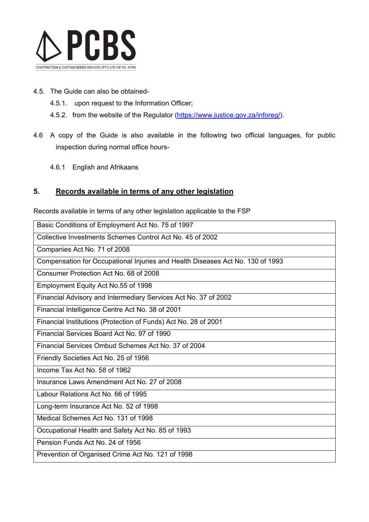

- 4.5. The Guide can also be obtained-
	- 4.5.1. upon request to the Information Officer;
	- 4.5.2. from the website of the Regulator [\(https://www.justice.gov.za/inforeg/\)](https://www.justice.gov.za/inforeg/).
- 4.6 A copy of the Guide is also available in the following two official languages, for public inspection during normal office hours-
	- 4.6.1 English and Afrikaans

## **5. Records available in terms of any other legislation**

Records available in terms of any other legislation applicable to the FSP

| Basic Conditions of Employment Act No. 75 of 1997                              |
|--------------------------------------------------------------------------------|
| Collective Investments Schemes Control Act No. 45 of 2002                      |
| Companies Act No. 71 of 2008                                                   |
| Compensation for Occupational Injuries and Health Diseases Act No. 130 of 1993 |
| Consumer Protection Act No. 68 of 2008                                         |
| Employment Equity Act No.55 of 1998                                            |
| Financial Advisory and Intermediary Services Act No. 37 of 2002                |
| Financial Intelligence Centre Act No. 38 of 2001                               |
| Financial Institutions (Protection of Funds) Act No. 28 of 2001                |
| Financial Services Board Act No. 97 of 1990                                    |
| Financial Services Ombud Schemes Act No. 37 of 2004                            |
| Friendly Societies Act No. 25 of 1956                                          |
| Income Tax Act No. 58 of 1962                                                  |
| Insurance Laws Amendment Act No. 27 of 2008                                    |
| Labour Relations Act No. 66 of 1995                                            |
| Long-term Insurance Act No. 52 of 1998                                         |
| Medical Schemes Act No. 131 of 1998                                            |
| Occupational Health and Safety Act No. 85 of 1993                              |
| Pension Funds Act No. 24 of 1956                                               |
| Prevention of Organised Crime Act No. 121 of 1998                              |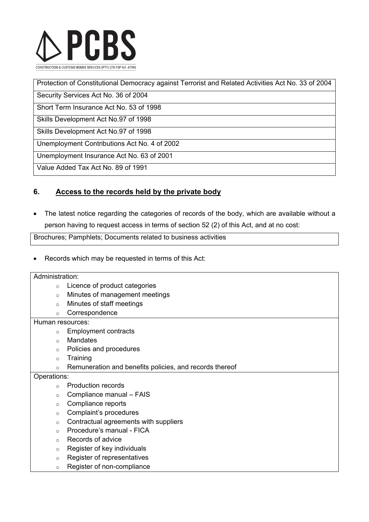

| Protection of Constitutional Democracy against Terrorist and Related Activities Act No. 33 of 2004 |
|----------------------------------------------------------------------------------------------------|
| Security Services Act No. 36 of 2004                                                               |
| Short Term Insurance Act No. 53 of 1998                                                            |
| Skills Development Act No.97 of 1998                                                               |
| Skills Development Act No.97 of 1998                                                               |
| Unemployment Contributions Act No. 4 of 2002                                                       |
| Unemployment Insurance Act No. 63 of 2001                                                          |
| Value Added Tax Act No. 89 of 1991                                                                 |

## **6. Access to the records held by the private body**

• The latest notice regarding the categories of records of the body, which are available without a person having to request access in terms of section 52 (2) of this Act, and at no cost:

Brochures; Pamphlets; Documents related to business activities

• Records which may be requested in terms of this Act:

#### Administration:

- o Licence of product categories
- o Minutes of management meetings
- o Minutes of staff meetings
- o Correspondence

Human resources:

- o Employment contracts
- o Mandates
- o Policies and procedures
- o Training
- o Remuneration and benefits policies, and records thereof

#### Operations:

- o Production records
- $\circ$  Compliance manual FAIS
- o Compliance reports
- o Complaint's procedures
- o Contractual agreements with suppliers
- o Procedure's manual FICA
- o Records of advice
- o Register of key individuals
- o Register of representatives
- o Register of non-compliance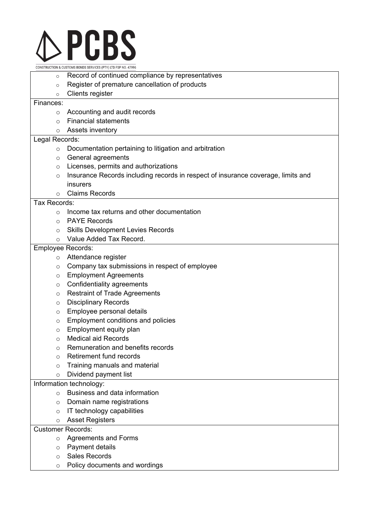

CONSTRUCTION & CUSTOMS BONDS SERVICES (PTY) LTD FSP NO. 47996

- Record of continued compliance by representatives
- o Register of premature cancellation of products
- o Clients register

#### Finances:

- o Accounting and audit records
- o Financial statements
- o Assets inventory

#### Legal Records:

- o Documentation pertaining to litigation and arbitration
- o General agreements
- o Licenses, permits and authorizations
- o Insurance Records including records in respect of insurance coverage, limits and insurers
- o Claims Records

#### Tax Records:

- o Income tax returns and other documentation
- o PAYE Records
- o Skills Development Levies Records
- o Value Added Tax Record.

#### Employee Records:

- o Attendance register
- o Company tax submissions in respect of employee
- o Employment Agreements
- o Confidentiality agreements
- o Restraint of Trade Agreements
- o Disciplinary Records
- o Employee personal details
- o Employment conditions and policies
- o Employment equity plan
- o Medical aid Records
- o Remuneration and benefits records
- o Retirement fund records
- o Training manuals and material
- o Dividend payment list

#### Information technology:

- o Business and data information
- o Domain name registrations
- o IT technology capabilities
- o Asset Registers

#### Customer Records:

- o Agreements and Forms
- o Payment details
- o Sales Records
- o Policy documents and wordings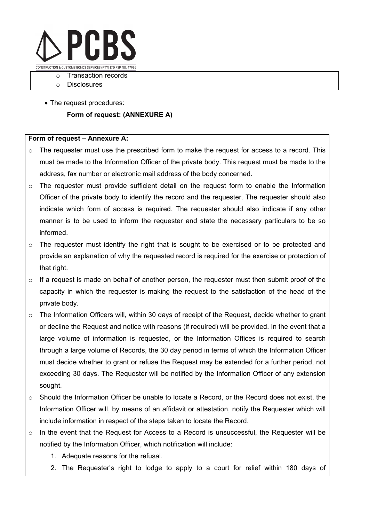

o Transaction records

- o Disclosures
- The request procedures:

#### **Form of request: (ANNEXURE A)**

#### **Form of request – Annexure A:**

- o The requester must use the prescribed form to make the request for access to a record. This must be made to the Information Officer of the private body. This request must be made to the address, fax number or electronic mail address of the body concerned.
- $\circ$  The requester must provide sufficient detail on the request form to enable the Information Officer of the private body to identify the record and the requester. The requester should also indicate which form of access is required. The requester should also indicate if any other manner is to be used to inform the requester and state the necessary particulars to be so informed.
- o The requester must identify the right that is sought to be exercised or to be protected and provide an explanation of why the requested record is required for the exercise or protection of that right.
- $\circ$  If a request is made on behalf of another person, the requester must then submit proof of the capacity in which the requester is making the request to the satisfaction of the head of the private body.
- o The Information Officers will, within 30 days of receipt of the Request, decide whether to grant or decline the Request and notice with reasons (if required) will be provided. In the event that a large volume of information is requested, or the Information Offices is required to search through a large volume of Records, the 30 day period in terms of which the Information Officer must decide whether to grant or refuse the Request may be extended for a further period, not exceeding 30 days. The Requester will be notified by the Information Officer of any extension sought.
- o Should the Information Officer be unable to locate a Record, or the Record does not exist, the Information Officer will, by means of an affidavit or attestation, notify the Requester which will include information in respect of the steps taken to locate the Record.
- $\circ$  In the event that the Request for Access to a Record is unsuccessful, the Requester will be notified by the Information Officer, which notification will include:
	- 1. Adequate reasons for the refusal.
	- 2. The Requester's right to lodge to apply to a court for relief within 180 days of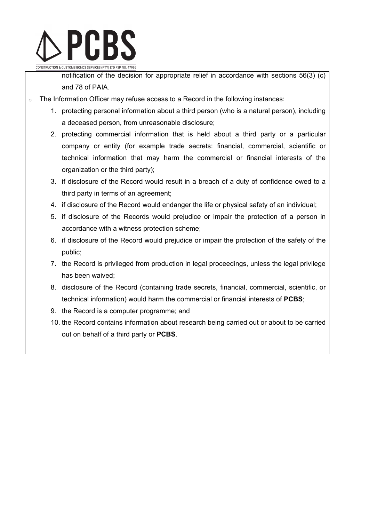

notification of the decision for appropriate relief in accordance with sections 56(3) (c) and 78 of PAIA.

- o The Information Officer may refuse access to a Record in the following instances:
	- 1. protecting personal information about a third person (who is a natural person), including a deceased person, from unreasonable disclosure;
	- 2. protecting commercial information that is held about a third party or a particular company or entity (for example trade secrets: financial, commercial, scientific or technical information that may harm the commercial or financial interests of the organization or the third party);
	- 3. if disclosure of the Record would result in a breach of a duty of confidence owed to a third party in terms of an agreement;
	- 4. if disclosure of the Record would endanger the life or physical safety of an individual;
	- 5. if disclosure of the Records would prejudice or impair the protection of a person in accordance with a witness protection scheme;
	- 6. if disclosure of the Record would prejudice or impair the protection of the safety of the public;
	- 7. the Record is privileged from production in legal proceedings, unless the legal privilege has been waived;
	- 8. disclosure of the Record (containing trade secrets, financial, commercial, scientific, or technical information) would harm the commercial or financial interests of **PCBS**;
	- 9. the Record is a computer programme; and
	- 10. the Record contains information about research being carried out or about to be carried out on behalf of a third party or **PCBS**.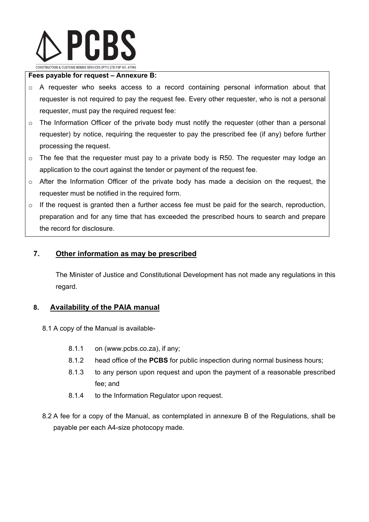

#### **Fees payable for request – Annexure B:**

- o A requester who seeks access to a record containing personal information about that requester is not required to pay the request fee. Every other requester, who is not a personal requester, must pay the required request fee:
- $\circ$  The Information Officer of the private body must notify the requester (other than a personal requester) by notice, requiring the requester to pay the prescribed fee (if any) before further processing the request.
- $\circ$  The fee that the requester must pay to a private body is R50. The requester may lodge an application to the court against the tender or payment of the request fee.
- o After the Information Officer of the private body has made a decision on the request, the requester must be notified in the required form.
- $\circ$  If the request is granted then a further access fee must be paid for the search, reproduction, preparation and for any time that has exceeded the prescribed hours to search and prepare the record for disclosure.

### **7. Other information as may be prescribed**

The Minister of Justice and Constitutional Development has not made any regulations in this regard.

### **8. Availability of the PAIA manual**

- 8.1 A copy of the Manual is available-
	- 8.1.1 on (www.pcbs.co.za), if any;
	- 8.1.2 head office of the **PCBS** for public inspection during normal business hours;
	- 8.1.3 to any person upon request and upon the payment of a reasonable prescribed fee; and
	- 8.1.4 to the Information Regulator upon request.
- 8.2 A fee for a copy of the Manual, as contemplated in annexure B of the Regulations, shall be payable per each A4-size photocopy made.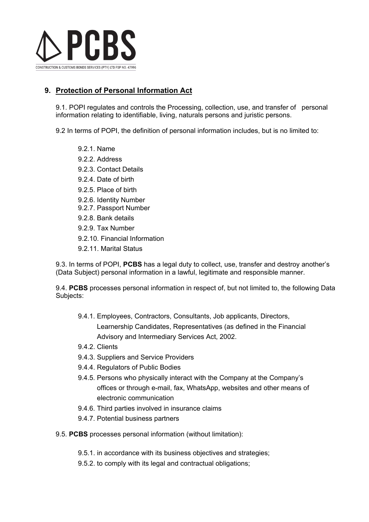

## **9. Protection of Personal Information Act**

9.1. POPI regulates and controls the Processing, collection, use, and transfer of personal information relating to identifiable, living, naturals persons and juristic persons.

9.2 In terms of POPI, the definition of personal information includes, but is no limited to:

- 9.2.1. Name
- 9.2.2. Address
- 9.2.3. Contact Details
- 9.2.4. Date of birth
- 9.2.5. Place of birth
- 9.2.6. Identity Number
- 9.2.7. Passport Number
- 9.2.8. Bank details
- 9.2.9. Tax Number
- 9.2.10. Financial Information
- 9.2.11. Marital Status

9.3. In terms of POPI, **PCBS** has a legal duty to collect, use, transfer and destroy another's (Data Subject) personal information in a lawful, legitimate and responsible manner.

9.4. **PCBS** processes personal information in respect of, but not limited to, the following Data Subjects:

- 9.4.1. Employees, Contractors, Consultants, Job applicants, Directors, Learnership Candidates, Representatives (as defined in the Financial Advisory and Intermediary Services Act, 2002.
- 9.4.2. Clients
- 9.4.3. Suppliers and Service Providers
- 9.4.4. Regulators of Public Bodies
- 9.4.5. Persons who physically interact with the Company at the Company's offices or through e-mail, fax, WhatsApp, websites and other means of electronic communication
- 9.4.6. Third parties involved in insurance claims
- 9.4.7. Potential business partners
- 9.5. **PCBS** processes personal information (without limitation):
	- 9.5.1. in accordance with its business objectives and strategies;
	- 9.5.2. to comply with its legal and contractual obligations;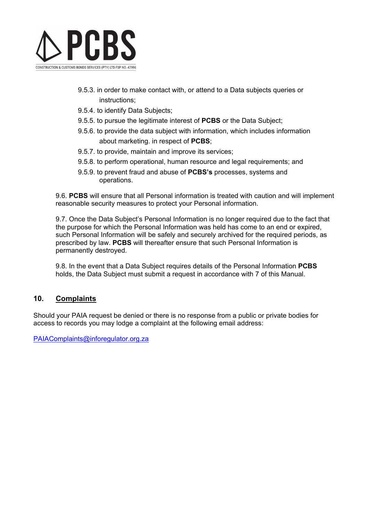

- 9.5.3. in order to make contact with, or attend to a Data subjects queries or instructions;
- 9.5.4. to identify Data Subjects;
- 9.5.5. to pursue the legitimate interest of **PCBS** or the Data Subject;
- 9.5.6. to provide the data subject with information, which includes information about marketing. in respect of **PCBS**;
- 9.5.7. to provide, maintain and improve its services;
- 9.5.8. to perform operational, human resource and legal requirements; and
- 9.5.9. to prevent fraud and abuse of **PCBS's** processes, systems and operations.

9.6. **PCBS** will ensure that all Personal information is treated with caution and will implement reasonable security measures to protect your Personal information.

9.7. Once the Data Subject's Personal Information is no longer required due to the fact that the purpose for which the Personal Information was held has come to an end or expired, such Personal Information will be safely and securely archived for the required periods, as prescribed by law. **PCBS** will thereafter ensure that such Personal Information is permanently destroyed.

9.8. In the event that a Data Subject requires details of the Personal Information **PCBS** holds, the Data Subject must submit a request in accordance with 7 of this Manual.

### **10. Complaints**

Should your PAIA request be denied or there is no response from a public or private bodies for access to records you may lodge a complaint at the following email address:

[PAIAComplaints@inforegulator.org.za](mailto:PAIAComplaints@inforegulator.org.za)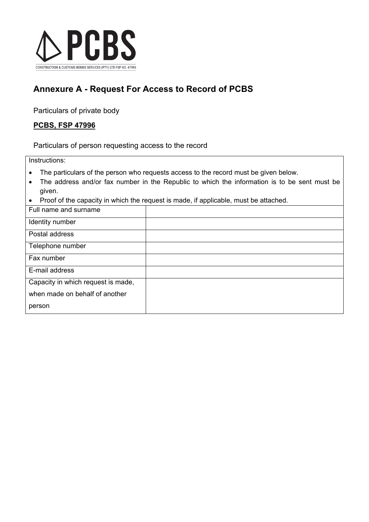

## **Annexure A - Request For Access to Record of PCBS**

Particulars of private body

## **PCBS, FSP 47996**

Particulars of person requesting access to the record

Instructions:

- The particulars of the person who requests access to the record must be given below.
- The address and/or fax number in the Republic to which the information is to be sent must be given.
- Proof of the capacity in which the request is made, if applicable, must be attached.

| Full name and surname              |  |
|------------------------------------|--|
| Identity number                    |  |
| Postal address                     |  |
| Telephone number                   |  |
| Fax number                         |  |
| E-mail address                     |  |
| Capacity in which request is made, |  |
| when made on behalf of another     |  |
| person                             |  |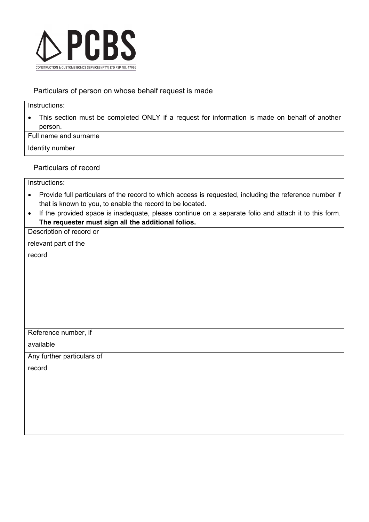

## Particulars of person on whose behalf request is made

#### Instructions:

• This section must be completed ONLY if a request for information is made on behalf of another person.

| Full name and surname |  |
|-----------------------|--|
| Identity number       |  |

Particulars of record

| Instructions: |
|---------------|
|               |

- Provide full particulars of the record to which access is requested, including the reference number if that is known to you, to enable the record to be located.
- If the provided space is inadequate, please continue on a separate folio and attach it to this form. **The requester must sign all the additional folios.**

| Description of record or   |  |
|----------------------------|--|
| relevant part of the       |  |
| record                     |  |
|                            |  |
|                            |  |
|                            |  |
|                            |  |
|                            |  |
|                            |  |
| Reference number, if       |  |
| available                  |  |
| Any further particulars of |  |
| record                     |  |
|                            |  |
|                            |  |
|                            |  |
|                            |  |
|                            |  |
|                            |  |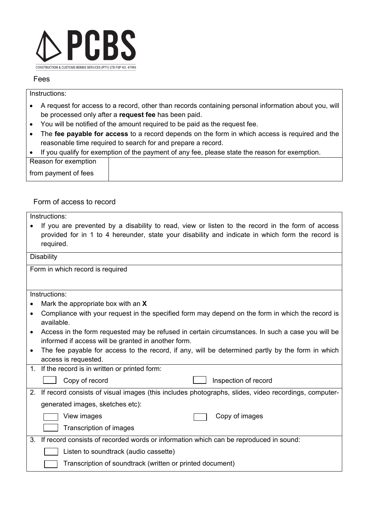

#### Fees

## Instructions:

- A request for access to a record, other than records containing personal information about you, will be processed only after a **request fee** has been paid.
- You will be notified of the amount required to be paid as the request fee.
- The **fee payable for access** to a record depends on the form in which access is required and the reasonable time required to search for and prepare a record.
- If you qualify for exemption of the payment of any fee, please state the reason for exemption.

Reason for exemption from payment of fees

## Form of access to record

|           | Instructions:                                                                                                                                                                                                     |  |  |
|-----------|-------------------------------------------------------------------------------------------------------------------------------------------------------------------------------------------------------------------|--|--|
|           | If you are prevented by a disability to read, view or listen to the record in the form of access<br>provided for in 1 to 4 hereunder, state your disability and indicate in which form the record is<br>required. |  |  |
|           | Disability                                                                                                                                                                                                        |  |  |
|           | Form in which record is required                                                                                                                                                                                  |  |  |
|           |                                                                                                                                                                                                                   |  |  |
|           | Instructions:                                                                                                                                                                                                     |  |  |
| $\bullet$ | Mark the appropriate box with an X                                                                                                                                                                                |  |  |
| $\bullet$ | Compliance with your request in the specified form may depend on the form in which the record is<br>available.                                                                                                    |  |  |
| $\bullet$ | Access in the form requested may be refused in certain circumstances. In such a case you will be<br>informed if access will be granted in another form.                                                           |  |  |
| $\bullet$ | The fee payable for access to the record, if any, will be determined partly by the form in which<br>access is requested.                                                                                          |  |  |
| 1.        | If the record is in written or printed form:                                                                                                                                                                      |  |  |
|           | Copy of record<br>Inspection of record                                                                                                                                                                            |  |  |
| 2.        | If record consists of visual images (this includes photographs, slides, video recordings, computer-                                                                                                               |  |  |
|           | generated images, sketches etc):                                                                                                                                                                                  |  |  |
|           | Copy of images<br>View images                                                                                                                                                                                     |  |  |
|           | Transcription of images                                                                                                                                                                                           |  |  |
| 3.        | If record consists of recorded words or information which can be reproduced in sound:                                                                                                                             |  |  |
|           | Listen to soundtrack (audio cassette)                                                                                                                                                                             |  |  |
|           | Transcription of soundtrack (written or printed document)                                                                                                                                                         |  |  |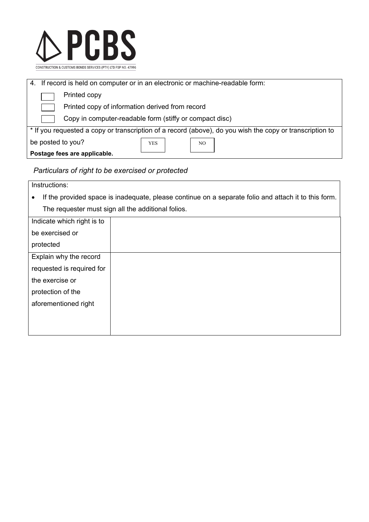

|                                                                                                          | 4. If record is held on computer or in an electronic or machine-readable form: |              |     |  |  |
|----------------------------------------------------------------------------------------------------------|--------------------------------------------------------------------------------|--------------|-----|--|--|
|                                                                                                          |                                                                                | Printed copy |     |  |  |
|                                                                                                          | Printed copy of information derived from record                                |              |     |  |  |
|                                                                                                          | Copy in computer-readable form (stiffy or compact disc)                        |              |     |  |  |
| * If you requested a copy or transcription of a record (above), do you wish the copy or transcription to |                                                                                |              |     |  |  |
| be posted to you?                                                                                        |                                                                                | <b>YES</b>   | NO. |  |  |
|                                                                                                          | Postage fees are applicable.                                                   |              |     |  |  |

## *Particulars of right to be exercised or protected*

| Instructions:                                                                                        |                                                    |  |  |
|------------------------------------------------------------------------------------------------------|----------------------------------------------------|--|--|
| If the provided space is inadequate, please continue on a separate folio and attach it to this form. |                                                    |  |  |
|                                                                                                      | The requester must sign all the additional folios. |  |  |
| Indicate which right is to                                                                           |                                                    |  |  |
| be exercised or                                                                                      |                                                    |  |  |
| protected                                                                                            |                                                    |  |  |
| Explain why the record                                                                               |                                                    |  |  |
| requested is required for                                                                            |                                                    |  |  |
| the exercise or                                                                                      |                                                    |  |  |
| protection of the                                                                                    |                                                    |  |  |
| aforementioned right                                                                                 |                                                    |  |  |
|                                                                                                      |                                                    |  |  |
|                                                                                                      |                                                    |  |  |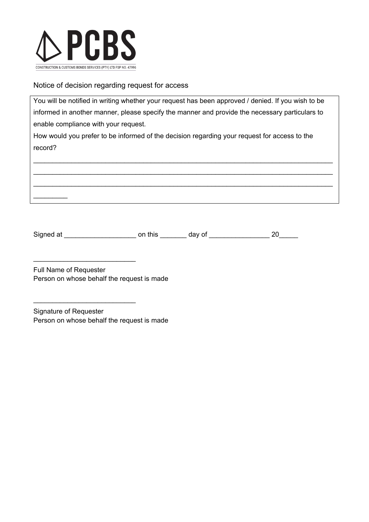

 $\overline{\phantom{a}}$  , where  $\overline{\phantom{a}}$ 

## Notice of decision regarding request for access

You will be notified in writing whether your request has been approved / denied. If you wish to be informed in another manner, please specify the manner and provide the necessary particulars to enable compliance with your request.

How would you prefer to be informed of the decision regarding your request for access to the record?

 $\_$  , and the set of the set of the set of the set of the set of the set of the set of the set of the set of the set of the set of the set of the set of the set of the set of the set of the set of the set of the set of th  $\_$  , and the set of the set of the set of the set of the set of the set of the set of the set of the set of the set of the set of the set of the set of the set of the set of the set of the set of the set of the set of th  $\_$  , and the set of the set of the set of the set of the set of the set of the set of the set of the set of the set of the set of the set of the set of the set of the set of the set of the set of the set of the set of th



Full Name of Requester Person on whose behalf the request is made

\_\_\_\_\_\_\_\_\_\_\_\_\_\_\_\_\_\_\_\_\_\_\_\_\_\_\_

\_\_\_\_\_\_\_\_\_\_\_\_\_\_\_\_\_\_\_\_\_\_\_\_\_\_\_

Signature of Requester Person on whose behalf the request is made